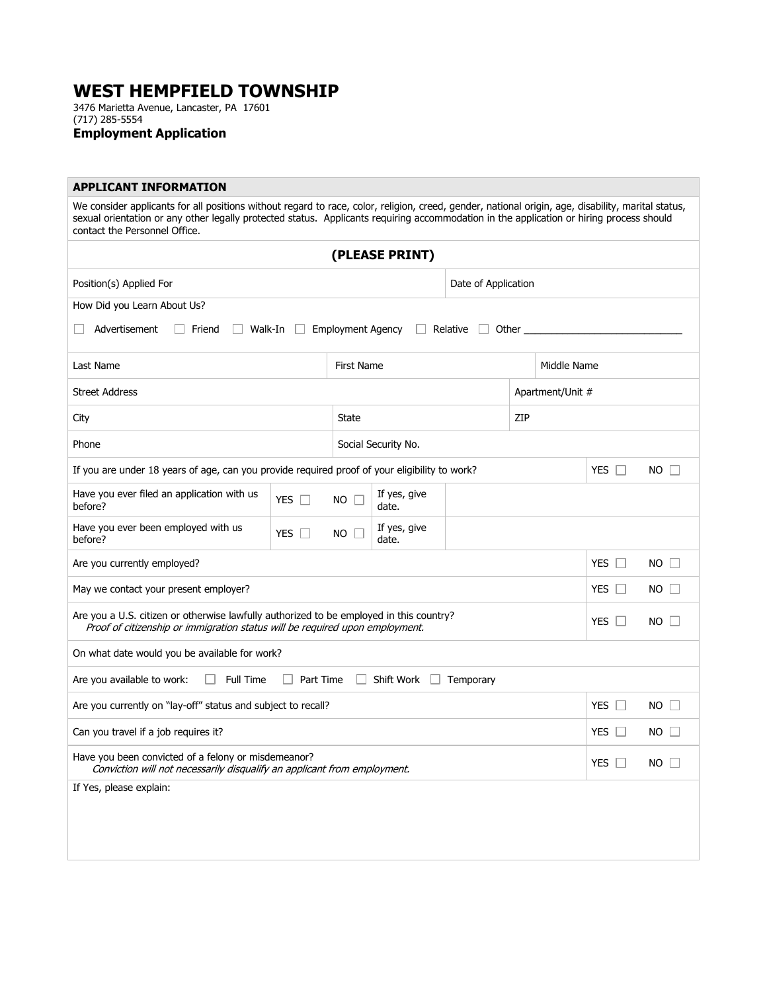## **WEST HEMPFIELD TOWNSHIP**

3476 Marietta Avenue, Lancaster, PA 17601 (717) 285-5554

**Employment Application** 

## **APPLICANT INFORMATION**

We consider applicants for all positions without regard to race, color, religion, creed, gender, national origin, age, disability, marital status, sexual orientation or any other legally protected status. Applicants requiring accommodation in the application or hiring process should contact the Personnel Office.

| (PLEASE PRINT)                                                                                                                                                                        |                  |                          |                       |                   |               |             |             |  |
|---------------------------------------------------------------------------------------------------------------------------------------------------------------------------------------|------------------|--------------------------|-----------------------|-------------------|---------------|-------------|-------------|--|
| Position(s) Applied For                                                                                                                                                               |                  | Date of Application      |                       |                   |               |             |             |  |
| How Did you Learn About Us?                                                                                                                                                           |                  |                          |                       |                   |               |             |             |  |
| Advertisement<br>Friend<br>Walk-In                                                                                                                                                    | $\Box$           | <b>Employment Agency</b> |                       | Relative<br>Other |               |             |             |  |
| Last Name                                                                                                                                                                             |                  | First Name               |                       |                   | Middle Name   |             |             |  |
| <b>Street Address</b>                                                                                                                                                                 |                  |                          | Apartment/Unit #      |                   |               |             |             |  |
| City                                                                                                                                                                                  |                  | <b>State</b>             |                       | ZIP               |               |             |             |  |
| Phone                                                                                                                                                                                 |                  |                          | Social Security No.   |                   |               |             |             |  |
| If you are under 18 years of age, can you provide required proof of your eligibility to work?                                                                                         |                  |                          |                       |                   | YES $\square$ | $NO \Box$   |             |  |
| Have you ever filed an application with us<br>before?                                                                                                                                 | YES $\Box$       | $NO \Box$                | If yes, give<br>date. |                   |               |             |             |  |
| Have you ever been employed with us<br>before?                                                                                                                                        | YES $\Box$       | $NO$ $\Box$              | If yes, give<br>date. |                   |               |             |             |  |
| YES $\Box$<br>Are you currently employed?                                                                                                                                             |                  |                          |                       |                   |               |             | $NO$ $\Box$ |  |
| YES $\Box$<br>May we contact your present employer?                                                                                                                                   |                  |                          |                       |                   |               |             | $NO$ $\Box$ |  |
| Are you a U.S. citizen or otherwise lawfully authorized to be employed in this country?<br>YES $\Box$<br>Proof of citizenship or immigration status will be required upon employment. |                  |                          |                       |                   |               |             | $NO$ $\Box$ |  |
| On what date would you be available for work?                                                                                                                                         |                  |                          |                       |                   |               |             |             |  |
| Are you available to work:<br>Full Time<br>$\Box$                                                                                                                                     | $\Box$ Part Time |                          | $\Box$ Shift Work     | Temporary         |               |             |             |  |
| Are you currently on "lay-off" status and subject to recall?                                                                                                                          |                  |                          |                       |                   |               | YES $\Box$  | $NO$ $\Box$ |  |
| Can you travel if a job requires it?                                                                                                                                                  |                  |                          |                       |                   |               | YES $\Box$  | $NO$ $\Box$ |  |
| Have you been convicted of a felony or misdemeanor?<br>YES $\Box$<br>Conviction will not necessarily disqualify an applicant from employment.                                         |                  |                          |                       |                   |               | $NO$ $\Box$ |             |  |
| If Yes, please explain:                                                                                                                                                               |                  |                          |                       |                   |               |             |             |  |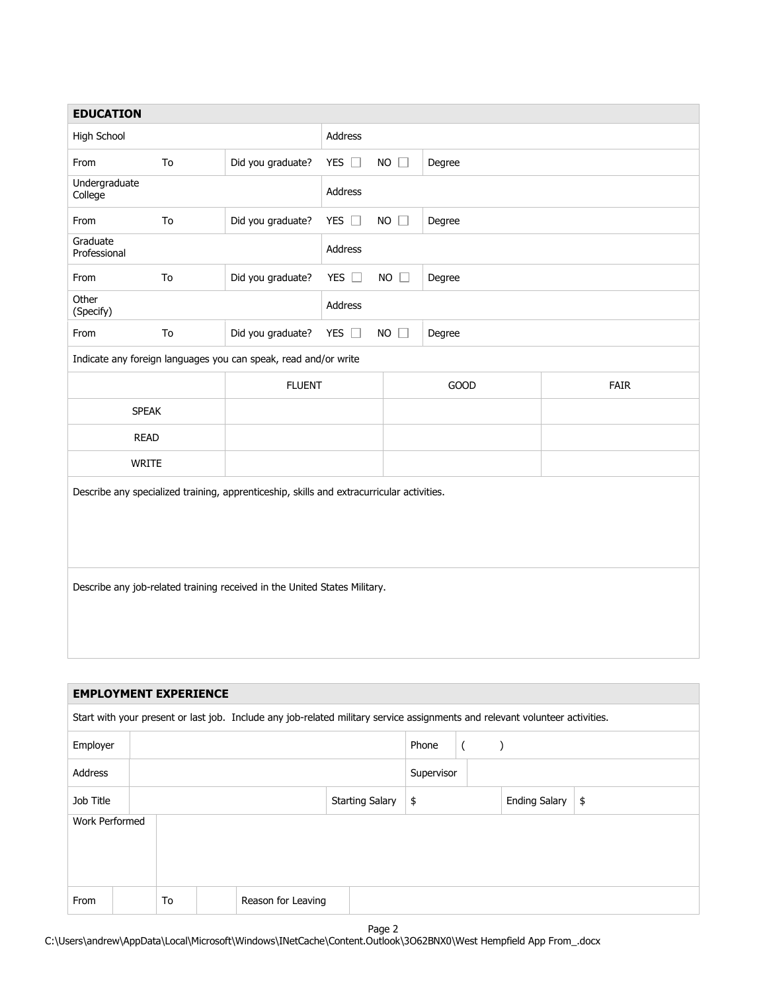| <b>EDUCATION</b>                                                                          |    |                                                                 |                |                       |                                                                                                                              |             |  |
|-------------------------------------------------------------------------------------------|----|-----------------------------------------------------------------|----------------|-----------------------|------------------------------------------------------------------------------------------------------------------------------|-------------|--|
| High School                                                                               |    | Address                                                         |                |                       |                                                                                                                              |             |  |
| From                                                                                      | To | Did you graduate?                                               | YES $\Box$     | $NO$ $\Box$<br>Degree |                                                                                                                              |             |  |
| Undergraduate<br>College                                                                  |    |                                                                 | <b>Address</b> |                       |                                                                                                                              |             |  |
| From                                                                                      | To | Did you graduate?                                               | YES $\square$  | $NO$ $\square$        | Degree                                                                                                                       |             |  |
| Graduate<br>Professional                                                                  |    |                                                                 | Address        |                       |                                                                                                                              |             |  |
| From                                                                                      | To | Did you graduate?                                               | YES $\square$  | $NO$ $\square$        | Degree                                                                                                                       |             |  |
| Other<br>(Specify)                                                                        |    |                                                                 | Address        |                       |                                                                                                                              |             |  |
| From                                                                                      | To | Did you graduate?                                               | YES $\square$  | $NO$ $\square$        | Degree                                                                                                                       |             |  |
|                                                                                           |    | Indicate any foreign languages you can speak, read and/or write |                |                       |                                                                                                                              |             |  |
|                                                                                           |    | <b>FLUENT</b>                                                   |                |                       | <b>GOOD</b>                                                                                                                  | <b>FAIR</b> |  |
| <b>SPEAK</b>                                                                              |    |                                                                 |                |                       |                                                                                                                              |             |  |
| <b>READ</b>                                                                               |    |                                                                 |                |                       |                                                                                                                              |             |  |
| WRITE                                                                                     |    |                                                                 |                |                       |                                                                                                                              |             |  |
| Describe any specialized training, apprenticeship, skills and extracurricular activities. |    |                                                                 |                |                       |                                                                                                                              |             |  |
| Describe any job-related training received in the United States Military.                 |    |                                                                 |                |                       |                                                                                                                              |             |  |
|                                                                                           |    |                                                                 |                |                       |                                                                                                                              |             |  |
| <b>EMPLOYMENT EXPERIENCE</b>                                                              |    |                                                                 |                |                       |                                                                                                                              |             |  |
|                                                                                           |    |                                                                 |                |                       | Start with your present or last job. Include any job-related military service assignments and relevant volunteer activities. |             |  |
|                                                                                           |    |                                                                 |                |                       |                                                                                                                              |             |  |

| Employer       |    |  |                    |  |                        | Phone |  |  |                      |               |
|----------------|----|--|--------------------|--|------------------------|-------|--|--|----------------------|---------------|
| Address        |    |  |                    |  | Supervisor             |       |  |  |                      |               |
| Job Title      |    |  |                    |  | <b>Starting Salary</b> | \$    |  |  | <b>Ending Salary</b> | $\frac{1}{2}$ |
| Work Performed |    |  |                    |  |                        |       |  |  |                      |               |
|                |    |  |                    |  |                        |       |  |  |                      |               |
|                |    |  |                    |  |                        |       |  |  |                      |               |
| From           | To |  | Reason for Leaving |  |                        |       |  |  |                      |               |

Page 2

C:\Users\andrew\AppData\Local\Microsoft\Windows\INetCache\Content.Outlook\3O62BNX0\West Hempfield App From\_.docx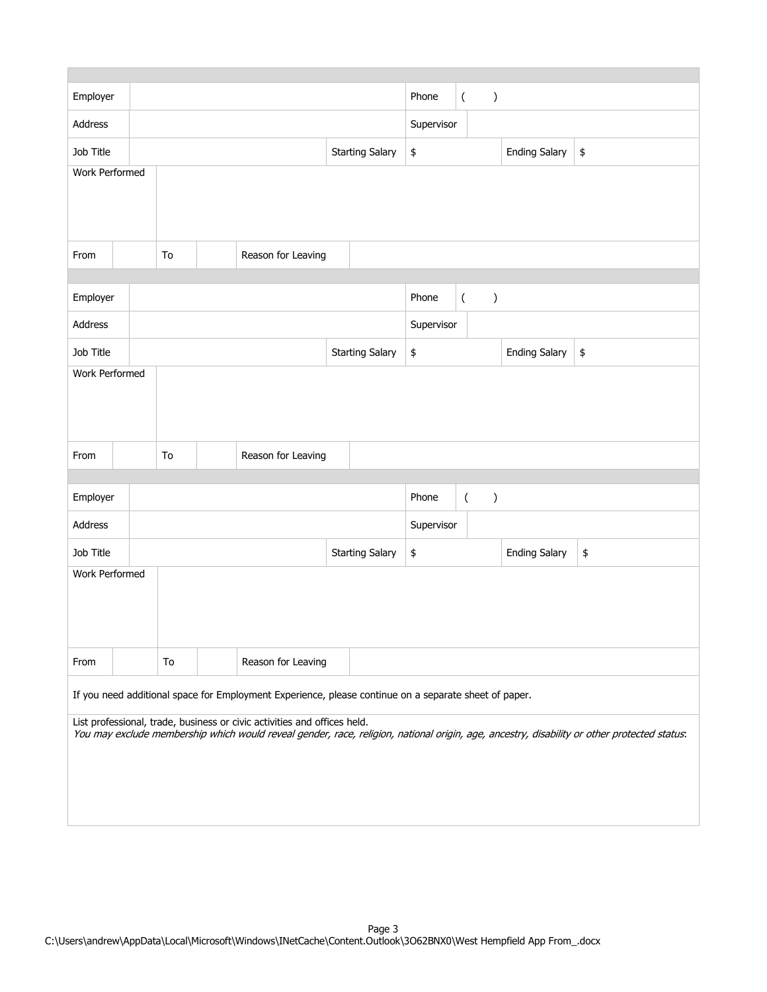| Employer                                                                                              |  |                        |  |                    | Phone      | $\overline{(\ }$<br>$\mathcal{C}$ |                                   |                                            |                      |                                                                                                                                             |  |
|-------------------------------------------------------------------------------------------------------|--|------------------------|--|--------------------|------------|-----------------------------------|-----------------------------------|--------------------------------------------|----------------------|---------------------------------------------------------------------------------------------------------------------------------------------|--|
| Address                                                                                               |  |                        |  |                    | Supervisor |                                   |                                   |                                            |                      |                                                                                                                                             |  |
| Job Title                                                                                             |  | <b>Starting Salary</b> |  |                    | \$         |                                   | <b>Ending Salary</b>              | $\pmb{\$}$                                 |                      |                                                                                                                                             |  |
| Work Performed                                                                                        |  |                        |  |                    |            |                                   |                                   |                                            |                      |                                                                                                                                             |  |
|                                                                                                       |  |                        |  |                    |            |                                   |                                   |                                            |                      |                                                                                                                                             |  |
|                                                                                                       |  |                        |  |                    |            |                                   |                                   |                                            |                      |                                                                                                                                             |  |
| From                                                                                                  |  | To                     |  | Reason for Leaving |            |                                   |                                   |                                            |                      |                                                                                                                                             |  |
|                                                                                                       |  |                        |  |                    |            |                                   |                                   |                                            |                      |                                                                                                                                             |  |
| Employer                                                                                              |  |                        |  |                    |            |                                   | $\frac{1}{2}$<br>Phone<br>$\big)$ |                                            |                      |                                                                                                                                             |  |
|                                                                                                       |  |                        |  |                    |            |                                   |                                   |                                            |                      |                                                                                                                                             |  |
| Address                                                                                               |  |                        |  |                    |            |                                   | Supervisor                        |                                            |                      |                                                                                                                                             |  |
| Job Title                                                                                             |  |                        |  |                    |            | <b>Starting Salary</b>            | \$                                |                                            | <b>Ending Salary</b> | $\pmb{\$}$                                                                                                                                  |  |
| Work Performed                                                                                        |  |                        |  |                    |            |                                   |                                   |                                            |                      |                                                                                                                                             |  |
|                                                                                                       |  |                        |  |                    |            |                                   |                                   |                                            |                      |                                                                                                                                             |  |
|                                                                                                       |  |                        |  |                    |            |                                   |                                   |                                            |                      |                                                                                                                                             |  |
| From                                                                                                  |  | To                     |  | Reason for Leaving |            |                                   |                                   |                                            |                      |                                                                                                                                             |  |
|                                                                                                       |  |                        |  |                    |            |                                   |                                   |                                            |                      |                                                                                                                                             |  |
| Employer                                                                                              |  |                        |  |                    |            |                                   | Phone                             | $\overline{(\ }$<br>$\mathcal{C}^{\prime}$ |                      |                                                                                                                                             |  |
| Address                                                                                               |  |                        |  |                    |            |                                   | Supervisor                        |                                            |                      |                                                                                                                                             |  |
| Job Title                                                                                             |  | <b>Starting Salary</b> |  |                    |            |                                   | \$                                |                                            | <b>Ending Salary</b> | \$                                                                                                                                          |  |
| Work Performed                                                                                        |  |                        |  |                    |            |                                   |                                   |                                            |                      |                                                                                                                                             |  |
|                                                                                                       |  |                        |  |                    |            |                                   |                                   |                                            |                      |                                                                                                                                             |  |
|                                                                                                       |  |                        |  |                    |            |                                   |                                   |                                            |                      |                                                                                                                                             |  |
|                                                                                                       |  |                        |  |                    |            |                                   |                                   |                                            |                      |                                                                                                                                             |  |
| From                                                                                                  |  | To                     |  | Reason for Leaving |            |                                   |                                   |                                            |                      |                                                                                                                                             |  |
| If you need additional space for Employment Experience, please continue on a separate sheet of paper. |  |                        |  |                    |            |                                   |                                   |                                            |                      |                                                                                                                                             |  |
| List professional, trade, business or civic activities and offices held.                              |  |                        |  |                    |            |                                   |                                   |                                            |                      |                                                                                                                                             |  |
|                                                                                                       |  |                        |  |                    |            |                                   |                                   |                                            |                      | You may exclude membership which would reveal gender, race, religion, national origin, age, ancestry, disability or other protected status. |  |
|                                                                                                       |  |                        |  |                    |            |                                   |                                   |                                            |                      |                                                                                                                                             |  |
|                                                                                                       |  |                        |  |                    |            |                                   |                                   |                                            |                      |                                                                                                                                             |  |
|                                                                                                       |  |                        |  |                    |            |                                   |                                   |                                            |                      |                                                                                                                                             |  |
|                                                                                                       |  |                        |  |                    |            |                                   |                                   |                                            |                      |                                                                                                                                             |  |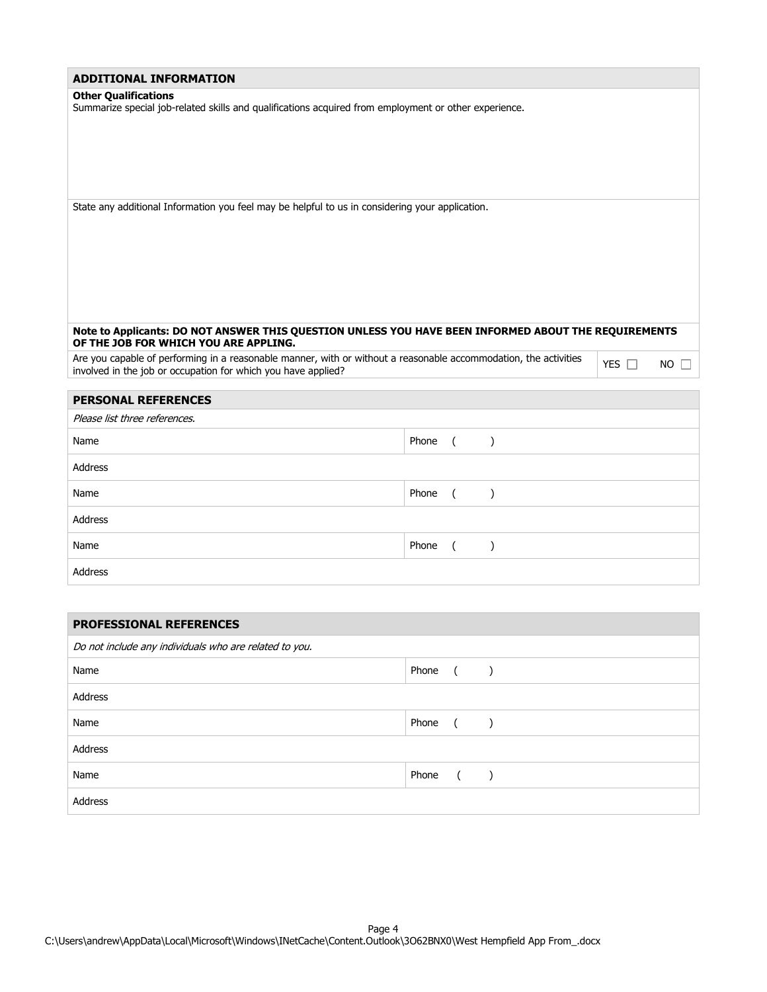| <b>ADDITIONAL INFORMATION</b>                                                                                                                                                     |            |             |
|-----------------------------------------------------------------------------------------------------------------------------------------------------------------------------------|------------|-------------|
| <b>Other Qualifications</b><br>Summarize special job-related skills and qualifications acquired from employment or other experience.                                              |            |             |
| State any additional Information you feel may be helpful to us in considering your application.                                                                                   |            |             |
| Note to Applicants: DO NOT ANSWER THIS QUESTION UNLESS YOU HAVE BEEN INFORMED ABOUT THE REQUIREMENTS<br>OF THE JOB FOR WHICH YOU ARE APPLING.                                     |            |             |
| Are you capable of performing in a reasonable manner, with or without a reasonable accommodation, the activities<br>involved in the job or occupation for which you have applied? | YES $\Box$ | $NO$ $\Box$ |
| <b>PERSONAL REFERENCES</b>                                                                                                                                                        |            |             |
|                                                                                                                                                                                   |            |             |

| Please list three references. |          |
|-------------------------------|----------|
| Name                          | Phone () |
| Address                       |          |
| Name                          | Phone () |
| Address                       |          |
| Name                          | Phone () |
| Address                       |          |

| <b>PROFESSIONAL REFERENCES</b>                         |                  |  |  |  |  |
|--------------------------------------------------------|------------------|--|--|--|--|
| Do not include any individuals who are related to you. |                  |  |  |  |  |
| Name                                                   | Phone ()         |  |  |  |  |
| Address                                                |                  |  |  |  |  |
| Name                                                   | Phone ()         |  |  |  |  |
| Address                                                |                  |  |  |  |  |
| Name                                                   | Phone<br>$($ $)$ |  |  |  |  |
| Address                                                |                  |  |  |  |  |